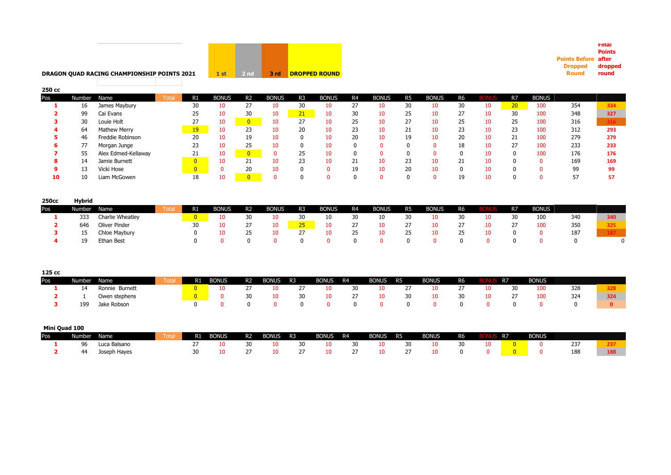

# **DRAGON QUAD RACING CHAMPIONSHIP POINTS 2021**

| 250 cc |        |                     |       |                |              |                |              |                |              |                |              |                |              |                |     |                 |              |     |     |
|--------|--------|---------------------|-------|----------------|--------------|----------------|--------------|----------------|--------------|----------------|--------------|----------------|--------------|----------------|-----|-----------------|--------------|-----|-----|
| Pos    | Number | Name                | Total | R1             | <b>BONUS</b> | R <sub>2</sub> | <b>BONUS</b> | R <sub>3</sub> | <b>BONUS</b> | R <sub>4</sub> | <b>BONUS</b> | R <sub>5</sub> | <b>BONUS</b> | R <sub>6</sub> | BON | R <sub>7</sub>  | <b>BONUS</b> |     |     |
|        | 16     | James Maybury       |       | 30             | 10           | 27             | 10           | 30             | 10           | 27             | 10           | 30             |              | 30             | 10  | 20 <sub>2</sub> | 100          | 354 | 334 |
|        | 99     | Cai Evans           |       | 25             | 10           | 30             | 10           | 21             | 10           | 30             | 10           | 25             |              | 27             | 10  | 30              | 100          | 348 | 327 |
|        | 30     | Louie Holt          |       | 27             | 10           | $\overline{0}$ | 10           | 27             | 10           | 25             | 10           | 27             |              | 25             | 10  | 25              | 100          | 316 |     |
|        | 64     | Mathew Merry        |       | 19             | 10           | 23             | 10           | 20             | 10           | 23             | 10           | 21             |              | 23             | 10  | 23              | 100          | 312 | 293 |
|        | 46     | Freddie Robinson    |       | 20             | 10           | 19             | 10           |                | 10           | 20             | 10           | 19             |              | 20             | 10  | 21              | 100          | 279 | 279 |
| 6      | 77     | Morgan Junge        |       | 23             | 10           | 25             | 10           |                | 10           | 0              | 0            |                | <sup>n</sup> | 18             | 10  | 27              | 100          | 233 | 233 |
|        | 55     | Alex Edmed-Kellaway |       | 21             | 10           | $\overline{0}$ |              | 25             | 10           | 0              |              |                |              |                | 10  |                 | 100          | 176 | 176 |
| 8      | 14     | Jamie Burnett       |       | $\overline{0}$ | 10           | 21             | 10           | 23             | 10           | 21             | 10           | 23             |              | 21             | 10  |                 |              | 169 | 169 |
| 9      | כי     | Vicki Hose          |       | $\overline{0}$ |              | 20             | 10           |                |              | 19             | 10           | 20             |              | 0              | 10  |                 |              | 99  | 99  |
| 10     | 10     | Liam McGowen        |       | 18             | 10           |                |              |                |              |                |              |                |              | 19             | 10  |                 |              | 57  | 57  |
|        |        |                     |       |                |              |                |              |                |              |                |              |                |              |                |     |                 |              |     |     |

**Points Before after Dropped Round** 

**Final Points** 

> **dropped round**

| 250cc | Hvbrid |                  |      |    |              |                |              |                |              |                   |              |                |              |                |    |                |              |     |     |
|-------|--------|------------------|------|----|--------------|----------------|--------------|----------------|--------------|-------------------|--------------|----------------|--------------|----------------|----|----------------|--------------|-----|-----|
| Pos   | Number | Name             | Tota | R1 | <b>BONUS</b> | R <sub>2</sub> | <b>BONUS</b> | R <sub>3</sub> | <b>BONUS</b> | R4                | <b>BONUS</b> | R <sub>5</sub> | <b>BONUS</b> | R <sub>6</sub> |    | R <sub>7</sub> | <b>BONUS</b> |     |     |
|       | 333    | Charlie Wheatley |      |    | 10           | 30             | 10           | 30             | τn           | 30                | 10           | 30             | 10           | 30             | 10 | 30             | 100          | 340 | 340 |
|       | 646    | Oliver Pinder    |      | 30 |              |                | 10           |                |              | 27                |              |                | 10           | 27             | 10 |                | 100          | 350 | 325 |
|       |        | Chloe Maybury    |      |    |              |                | 10           |                |              | 25                |              | 25             | 10           | 25             | 10 |                |              | 187 |     |
|       | 19     | Ethan Best       |      |    |              |                |              |                |              | $^{\prime\prime}$ |              |                |              |                |    |                |              | 0   |     |

| 125 cc |        |                |      |                |              |    |              |                |              |    |              |           |              |                |    |           |              |            |     |
|--------|--------|----------------|------|----------------|--------------|----|--------------|----------------|--------------|----|--------------|-----------|--------------|----------------|----|-----------|--------------|------------|-----|
| Pos    | Number | Name           | Tota | R <sub>1</sub> | <b>BONUS</b> | R2 | <b>BONUS</b> | R <sub>3</sub> | <b>BONUS</b> | R4 | <b>BONUS</b> | <b>R5</b> | <b>BONUS</b> | R <sub>6</sub> |    | <b>R7</b> | <b>BONUS</b> |            |     |
|        | 14     | Ronnie Burnett |      |                |              |    | 10           |                | 10.          | 30 | 10           |           | 10           | $\mathcal{L}I$ | 10 | 30        | 100          | 328        |     |
|        |        | Owen stephens  |      |                |              | 30 | 10           | 30             |              | 27 | 10           | 30        | 10           | 30             |    | 21        | 100          | 324        | 324 |
|        | 199    | Jake Robson    |      |                |              |    |              |                |              |    |              |           |              |                |    |           |              | $^{\circ}$ |     |

|     | Mini Quad 100 |              |       |           |              |                |              |                |              |        |              |                |              |                |           |              |     |     |
|-----|---------------|--------------|-------|-----------|--------------|----------------|--------------|----------------|--------------|--------|--------------|----------------|--------------|----------------|-----------|--------------|-----|-----|
| Pos | Number        | Name         | rotal | <b>R1</b> | <b>BONUS</b> | R <sub>2</sub> | <b>BONUS</b> | R <sub>3</sub> | <b>BONUS</b> | R4     | <b>BONUS</b> | R <sub>5</sub> | <b>BONUS</b> | R <sub>6</sub> | <b>R7</b> | <b>BONUS</b> |     |     |
|     |               | Luca Balsano |       |           |              | 30             | 10           |                |              | 30     |              | 30             |              | 30             |           |              | 237 |     |
|     |               | Joseph Hayes |       |           |              |                | 10           |                |              | $\sim$ |              |                |              |                |           |              | 188 | 188 |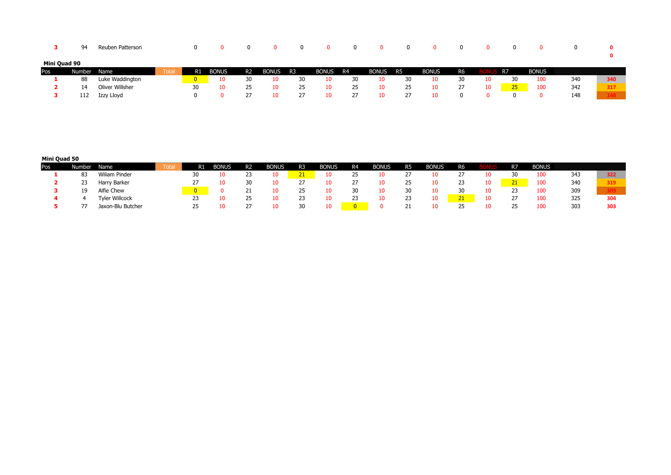|              | ۵4     | Reuben Patterson |       |    |              |                |              |    |              | $\Omega$ |              |           |              |    |     |           |              | 0   |     |
|--------------|--------|------------------|-------|----|--------------|----------------|--------------|----|--------------|----------|--------------|-----------|--------------|----|-----|-----------|--------------|-----|-----|
| Mini Quad 90 |        |                  |       |    |              |                |              |    |              |          |              |           |              |    |     |           |              |     |     |
| Pos          | Number | Name             | Total | R1 | <b>BONUS</b> | R <sub>2</sub> | <b>BONUS</b> | R3 | <b>BONUS</b> | R4       | <b>BONUS</b> | <b>R5</b> | <b>BONUS</b> | R6 |     | <b>R7</b> | <b>BONUS</b> |     |     |
|              | 88     | Luke Waddington  |       |    |              | 30             | 10           | 30 | 10           | 30       | 10           | 30        | 10           | 30 | 10. | 30        | 100          | 340 | 340 |
|              | 14     | Oliver Willsher  |       | 30 | 10           | 25             |              | 25 | 10           | 25       | 10           | 25        | 10           | 27 | 10  | 25        | 100          | 342 | 317 |
|              | 112    | Izzy Lloyd       |       |    |              |                |              |    | 10           | 27       |              |           | 10           |    |     |           |              | 148 |     |

# **Mini Quad 50**

| Pos | Number | Name                  | Total | R1 | Bonus | R <sub>2</sub> | <b>BONUS</b> | R <sub>3</sub> | <b>BONUS</b> | R <sub>4</sub> | <b>BONUS</b> | R <sub>5</sub> | <b>BONUS</b> | <b>R6</b> |    | R <sub>7</sub> | <b>BONUS</b> |     |     |
|-----|--------|-----------------------|-------|----|-------|----------------|--------------|----------------|--------------|----------------|--------------|----------------|--------------|-----------|----|----------------|--------------|-----|-----|
|     | -83    | Wiliam Pinder         |       | 30 |       | 23             |              |                |              | 25             |              |                |              |           |    |                | 100          | 343 | 322 |
|     | 23     | Harry Barker          |       |    |       | 30             |              |                |              | 27             |              | 25.            |              | رے        | 10 | 21<br>$-1$     | 100          | 340 | 319 |
|     | 19     | Alfie Chew            |       |    |       |                |              |                |              | 30             | 10           | 30             |              | ٦n        |    | 23             | 100          | 309 |     |
|     |        | <b>Tyler Willcock</b> |       |    |       | 25             |              |                |              | 23             |              | 23             | πn           | 21        | 10 | $\mathcal{L}I$ | 100          | 325 | 304 |
|     |        | Jaxon-Blu Butcher     |       |    |       |                |              | 30             | 10           | $\overline{0}$ |              | <u>_ _</u>     | ΙU           | 25        |    | 25             | 100          | 303 | 303 |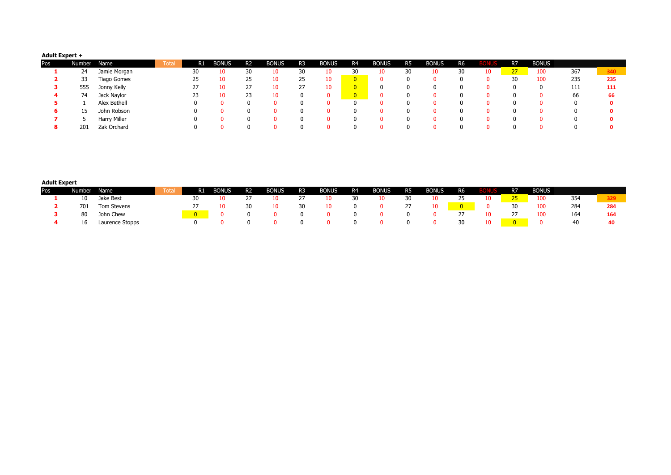### **Adult Expert +**

| Pos | Number | Name         | Total | R1 | Bonus | R <sub>2</sub> | <b>BONUS</b> | R <sub>3</sub> | <b>BONUS</b> | R <sub>4</sub> | <b>BONUS</b> | R5 | <b>BONUS</b> | R <sub>6</sub> |    | R <sub>7</sub> | <b>BONUS</b> |     |     |
|-----|--------|--------------|-------|----|-------|----------------|--------------|----------------|--------------|----------------|--------------|----|--------------|----------------|----|----------------|--------------|-----|-----|
|     | 24     | Jamie Morgan |       | 30 | 10    | 30             | 10           | 30             | 10           | 30             | 10           |    | 10           | 30             | 10 | 27             | 100          | 367 | 340 |
|     | 33     | Tiago Gomes  |       | 25 | 10    | 25             | 10           | 25             | 10           |                |              |    |              |                |    | 30             | 100          | 235 | 235 |
|     | 555    | Jonny Kelly  |       |    | 10    | 27             |              |                | 10           | $\overline{0}$ | 0            |    |              |                |    |                |              | 111 | 111 |
|     | 74     | Jack Naylor  |       | 23 | 10    | 23             |              |                |              |                |              |    |              |                |    |                |              | 66  | 66  |
|     |        | Alex Bethell |       |    |       |                |              |                |              |                |              |    |              |                |    |                |              |     |     |
|     | 15     | John Robson  |       |    |       |                |              |                |              |                |              |    |              |                |    |                |              |     |     |
|     |        | Harry Miller |       |    |       |                |              |                |              |                |              |    |              |                |    |                |              |     |     |
|     | 201    | Zak Orchard  |       |    |       |                |              |                |              |                |              |    |              |                |    |                |              |     |     |

#### **Adult Expert**

| Pos | Number. | Name            | Total | R1 | <b>BONUS</b> | R <sub>2</sub> | <b>BONUS</b> | R3 | <b>BONUS</b> | R4 | <b>BONUS</b> | R <sub>5</sub> | <b>BONUS</b> | <b>R6</b> | BOI | R7    | <b>BONUS</b> |     |     |
|-----|---------|-----------------|-------|----|--------------|----------------|--------------|----|--------------|----|--------------|----------------|--------------|-----------|-----|-------|--------------|-----|-----|
|     | 10      | Jake Best       |       |    |              |                |              |    | 10.          | 30 | 10.          | 30             | 10           | 25        | 10  | $-25$ | 100          | 354 | 329 |
|     | 701     | Tom Stevens     |       |    |              | 30             |              |    |              | 0  |              |                | 10           |           |     | 30    | 100          | 284 | 284 |
|     | 80      | John Chew       |       |    |              |                |              |    |              |    |              |                |              |           | 10  |       | 100          | 164 | 164 |
|     | 16      | Laurence Stopps |       |    |              |                |              |    |              |    |              |                |              | 30        | 10  |       |              | 40  |     |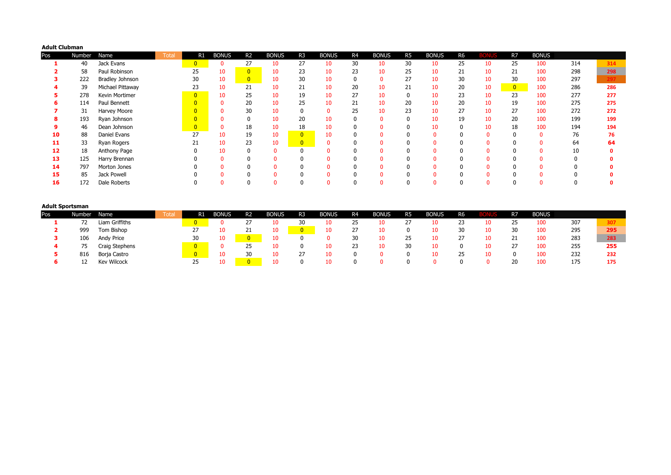| <b>Adult Clubman</b> |        |                        |      |                |              |                |              |                |              |                |              |                |              |                |              |                |              |     |     |
|----------------------|--------|------------------------|------|----------------|--------------|----------------|--------------|----------------|--------------|----------------|--------------|----------------|--------------|----------------|--------------|----------------|--------------|-----|-----|
| Pos                  | Number | Name                   | Tota | R1             | <b>BONUS</b> | R <sub>2</sub> | <b>BONUS</b> | R <sub>3</sub> | <b>BONUS</b> | R <sub>4</sub> | <b>BONUS</b> | R <sub>5</sub> | <b>BONUS</b> | R <sub>6</sub> | <b>BONUS</b> | R7             | <b>BONUS</b> |     |     |
|                      | 40     | Jack Evans             |      | 0              |              | 27             | 10           | 27             | 10           | 30             | 10           | 30             | 10           | 25             | 10           | 25             | 100          | 314 | 314 |
|                      | 58     | Paul Robinson          |      | 25             | 10           | $\overline{0}$ | 10           | 23             | 10           | 23             | 10           | 25             | 10           | 21             | 10           | 21             | 100          | 298 | 298 |
|                      | 222    | <b>Bradley Johnson</b> |      | 30             | 10           | $\overline{0}$ | 10           | 30             | 10           | 0              | $\mathbf{0}$ | 27             | 10           | 30             | 10           | 30             | 100          | 297 |     |
|                      | 39     | Michael Pittaway       |      | 23             | 10           | 21             | 10           | 21             | 10           | 20             | 10           | 21             | 10           | 20             | 10           | $\overline{0}$ | 100          | 286 | 286 |
|                      | 278    | Kevin Mortimer         |      | $\overline{0}$ | 10           | 25             | 10           | 19             | 10           | 27             | 10           |                | 10           | 23             | 10           | 23             | 100          | 277 | 277 |
|                      | 114    | Paul Bennett           |      |                |              | 20             | 10           | 25             | 10           | 21             | 10           | 20             | 10           | 20             | 10           | 19             | 100          | 275 | 275 |
|                      | 31     | Harvey Moore           |      |                |              | 30             | 10           |                |              | 25             | 10           | 23             | 10           | 27             | 10           | 27             | 100          | 272 | 272 |
|                      | 193    | Ryan Johnson           |      |                |              |                | 10           | 20             | 10           | 0              |              |                | 10           | 19             | 10           | 20             | 100          | 199 | 199 |
|                      | 46     | Dean Johnson           |      | $\overline{0}$ |              | 18             | 10           | 18             | 10           | 0              |              |                | 10           | 0              | 10           | 18             | 100          | 194 | 194 |
| 10                   | 88     | Daniel Evans           |      | 27             | 10           | 19             | 10           | $\overline{0}$ | 10           | 0              |              |                |              | $\Omega$       | $\Omega$     |                | $\mathbf{0}$ | 76  | 76  |
| 11                   | 33     | Ryan Rogers            |      | 21             | 10           | 23             | 10           | $\overline{0}$ |              | $\mathbf{0}$   |              |                |              | $\Omega$       |              |                |              | 64  | 64  |
| 12                   | 18     | Anthony Page           |      |                | 10           |                | $\Omega$     |                |              | $\mathbf{0}$   |              |                |              | O              |              |                |              | 10  |     |
| 13                   | 125    | Harry Brennan          |      |                |              |                |              |                |              | 0              |              |                |              |                |              |                |              |     |     |
| 14                   | 797    | Morton Jones           |      |                |              |                |              |                |              | 0              |              |                |              |                |              |                |              |     |     |
| 15                   | 85     | Jack Powell            |      |                |              |                |              |                |              | O              |              |                |              |                |              |                |              |     |     |
| 16                   | 172    | Dale Roberts           |      |                |              |                |              |                |              | 0              |              |                |              |                |              |                |              |     |     |

| <b>Adult Sportsman</b> |        |                    |       |                |              |                |       |                |              |    |              |                |              |    |            |              |     |     |
|------------------------|--------|--------------------|-------|----------------|--------------|----------------|-------|----------------|--------------|----|--------------|----------------|--------------|----|------------|--------------|-----|-----|
| Pos                    | Number | Name               | Total | R1             | <b>BONUS</b> | R2             | Bonus | R <sub>3</sub> | <b>BONUS</b> | R4 | <b>BONUS</b> | R <sub>5</sub> | <b>BONUS</b> | R6 | R7         | <b>BONUS</b> |     |     |
|                        |        | Liam Griffiths     |       |                |              | $\mathcal{L}I$ | 10    | 30             | ∡O⊥          | 25 | 10           |                |              | 23 | رے         | 100          | 307 | 307 |
|                        | 999    | Tom Bishop         |       | $\mathcal{L}I$ |              | 21             | 10    |                |              | 27 |              |                |              | 30 | 30         | 100          | 295 | 295 |
|                        | 106    | Andy Price         |       | 30             |              |                | 10    |                |              | 30 | 10           | 25             |              | 27 | <u>_ _</u> | 100          | 283 | 283 |
|                        |        | Craig Stephens     |       | $\Omega$       |              |                | 10    |                |              | 23 | 10           | 30             |              | 0  | <u>_</u>   | 100          | 255 | 255 |
|                        | 816    | Borja Castro       |       | 0              |              | 30             | 10    | ت              |              |    |              |                |              | 25 |            | 100          | 232 | 232 |
|                        |        | <b>Kev Wilcock</b> |       | 25             |              |                | 10    |                |              |    |              |                |              |    | 20         | 100          | 175 | 175 |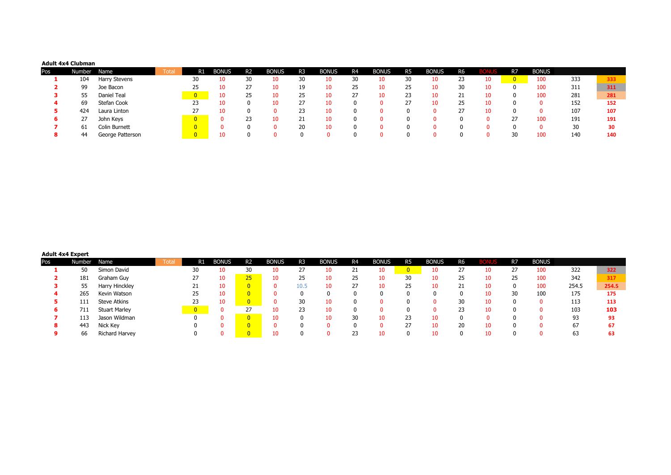### **Adult 4x4 Clubman**

| Pos | Number | Name             | <b>Total</b> | R1 | <b>BONUS</b> | <b>R2</b> | <b>BONUS</b> | R <sub>3</sub> | <b>BONUS</b> | R <sub>4</sub> | <b>BONUS</b> | R <sub>5</sub> | <b>BONUS</b> | R <sub>6</sub> | BIOI | R <sub>7</sub> | <b>BONUS</b> |     |     |
|-----|--------|------------------|--------------|----|--------------|-----------|--------------|----------------|--------------|----------------|--------------|----------------|--------------|----------------|------|----------------|--------------|-----|-----|
|     | 104    | Harry Stevens    |              | 30 |              | 30        | 10           | 30             | 10           | 30             | 10           |                | 10           | 23             | 10   |                | 100          | 333 | 333 |
|     | 99     | Joe Bacon        |              | 25 |              | 27        | 10           | 19             | 10           | 25             | 10           | 25.            | 10           | 30             | 10   |                | 100          | 311 | 311 |
|     | 55     | Daniel Teal      |              |    |              | 25        | 10           | 25             | 10           | 27             | 10           | 23             | 10           | 21             | 10   |                | 100          | 281 | 281 |
| 4   | 69     | Stefan Cook      |              | 23 |              |           | 10           |                |              |                |              |                | 10           | 25             |      |                |              | 152 | 152 |
|     | 424    | Laura Linton     |              |    |              |           |              | 23             |              |                |              |                |              | 27             |      |                |              | 107 | 107 |
| 6.  | 27     | John Keys        |              |    |              | 23        | 10           | 21             |              |                |              |                |              | n.             |      | 27             | 100          | 191 | 191 |
|     | 61     | Colin Burnett    |              |    |              |           |              | 20             |              |                |              |                |              |                |      |                |              | 30  | 30  |
|     | 44     | George Patterson |              |    |              |           |              |                |              |                |              |                |              |                |      | 30             | 100          | 140 | 140 |

# **Adult 4x4 Expert**

| Pos | Number | Name                 | <b>Total</b> | R1 | <b>BONUS</b> | <b>R2</b> | <b>BONUS</b> | R3   | <b>BONUS</b> | R4 | <b>BONUS</b> | R <sub>5</sub> | <b>BONUS</b> | R6 |    | R7 | <b>BONUS</b> |       |       |
|-----|--------|----------------------|--------------|----|--------------|-----------|--------------|------|--------------|----|--------------|----------------|--------------|----|----|----|--------------|-------|-------|
|     | 50     | Simon David          |              | 30 |              | 30        | 10           | 27   |              | 21 | 10           |                | 10           | 27 | 10 | 27 | 100          | 322   | 322   |
|     | 181    | Graham Guy           |              | 27 | 10           | 25        | 10           | 25   |              | 25 | 10           | 30             | 10           | 25 |    | 25 | 100          | 342   | 317   |
|     | 55     | Harry Hinckley       |              | ᅩ  | 10           |           |              | 10.5 |              | 27 | 10           | 25             | 10           | 21 | 10 | 0  | 100          | 254.5 | 254.5 |
|     | 265    | Kevin Watson         |              | 25 | 10           |           |              |      |              |    |              |                |              |    |    | 30 | 100          | 175   | 175   |
|     | 111    | Steve Atkins         |              | 23 | 10           |           |              | 30   |              |    |              |                |              | 30 | 10 |    |              | 113   | 113   |
| 6   | 711    | <b>Stuart Marley</b> |              |    |              | 27        | 10           | 23   |              |    |              |                |              | 23 |    |    |              | 103   | 103   |
|     | 113    | Jason Wildman        |              | 0  |              |           |              |      |              | 30 | 10           |                | 10           |    |    |    |              | 93    | 93    |
| 8   | 443    | Nick Key             |              |    |              |           |              |      |              |    |              |                | 10           | 20 | 10 |    |              | 67    | 67    |
|     | 66     | Richard Harvey       |              |    |              |           |              |      |              | 23 |              |                | 10           |    |    |    |              | 63    |       |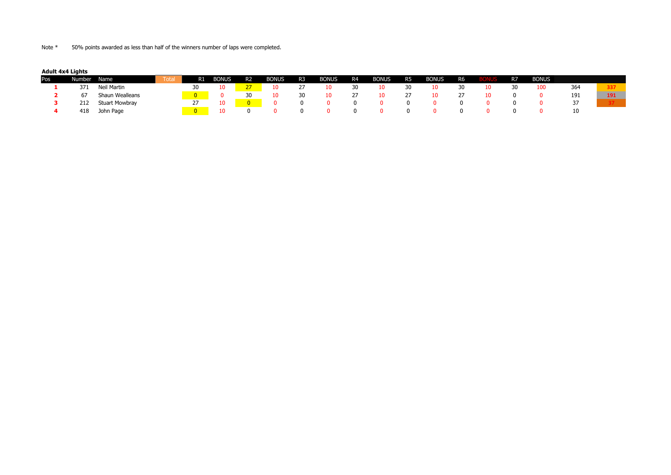Note \* 50% points awarded as less than half of the winners number of laps were completed.

**Adult 4x4 Lights**

| Pos | Number | Name                  | Total | R1 | <b>BONUS</b> | R2 | <b>BONUS</b> | R <sub>3</sub> | <b>BONUS</b> | R4             | <b>BONUS</b> | R <sub>5</sub> | <b>BONUS</b> | R <sub>6</sub> |    | R7 | <b>BONUS</b> |     |     |
|-----|--------|-----------------------|-------|----|--------------|----|--------------|----------------|--------------|----------------|--------------|----------------|--------------|----------------|----|----|--------------|-----|-----|
|     | 371    | Neil Martin           |       | 30 | 10           |    |              |                |              | 30             | 10           | 30             | ΙU           |                | 10 | 30 | 100          | 364 | 337 |
|     |        | Shaun Wealleans       |       |    |              | 30 |              | 30             |              | $\mathcal{L}I$ | 10           |                |              |                | 10 |    |              | 191 | 191 |
|     | 212    | <b>Stuart Mowbray</b> |       |    |              |    |              |                |              | 0              |              |                |              |                |    |    |              | رد  |     |
|     | 418    | John Page             |       |    |              |    |              |                |              | $^{(1)}$       |              |                |              |                |    |    |              | 10  |     |